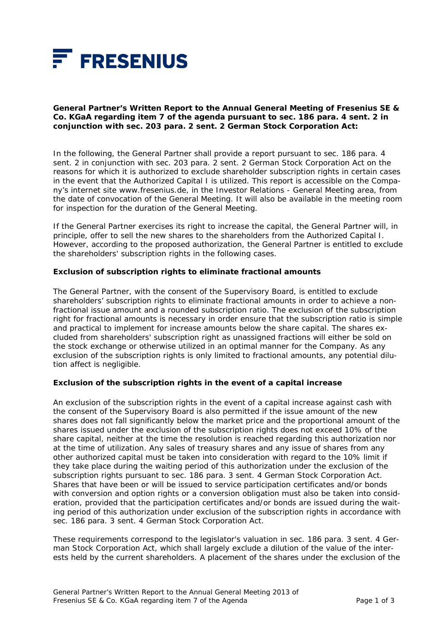

**General Partner's Written Report to the Annual General Meeting of Fresenius SE & Co. KGaA regarding item 7 of the agenda pursuant to sec. 186 para. 4 sent. 2 in conjunction with sec. 203 para. 2 sent. 2 German Stock Corporation Act:** 

In the following, the General Partner shall provide a report pursuant to sec. 186 para. 4 sent. 2 in conjunction with sec. 203 para. 2 sent. 2 German Stock Corporation Act on the reasons for which it is authorized to exclude shareholder subscription rights in certain cases in the event that the Authorized Capital I is utilized. This report is accessible on the Company's internet site www.fresenius.de, in the Investor Relations - General Meeting area, from the date of convocation of the General Meeting. It will also be available in the meeting room for inspection for the duration of the General Meeting.

If the General Partner exercises its right to increase the capital, the General Partner will, in principle, offer to sell the new shares to the shareholders from the Authorized Capital I. However, according to the proposed authorization, the General Partner is entitled to exclude the shareholders' subscription rights in the following cases.

## **Exclusion of subscription rights to eliminate fractional amounts**

The General Partner, with the consent of the Supervisory Board, is entitled to exclude shareholders' subscription rights to eliminate fractional amounts in order to achieve a nonfractional issue amount and a rounded subscription ratio. The exclusion of the subscription right for fractional amounts is necessary in order ensure that the subscription ratio is simple and practical to implement for increase amounts below the share capital. The shares excluded from shareholders' subscription right as unassigned fractions will either be sold on the stock exchange or otherwise utilized in an optimal manner for the Company. As any exclusion of the subscription rights is only limited to fractional amounts, any potential dilution affect is negligible.

## **Exclusion of the subscription rights in the event of a capital increase**

An exclusion of the subscription rights in the event of a capital increase against cash with the consent of the Supervisory Board is also permitted if the issue amount of the new shares does not fall significantly below the market price and the proportional amount of the shares issued under the exclusion of the subscription rights does not exceed 10% of the share capital, neither at the time the resolution is reached regarding this authorization nor at the time of utilization. Any sales of treasury shares and any issue of shares from any other authorized capital must be taken into consideration with regard to the 10% limit if they take place during the waiting period of this authorization under the exclusion of the subscription rights pursuant to sec. 186 para. 3 sent. 4 German Stock Corporation Act. Shares that have been or will be issued to service participation certificates and/or bonds with conversion and option rights or a conversion obligation must also be taken into consideration, provided that the participation certificates and/or bonds are issued during the waiting period of this authorization under exclusion of the subscription rights in accordance with sec. 186 para. 3 sent. 4 German Stock Corporation Act.

These requirements correspond to the legislator's valuation in sec. 186 para. 3 sent. 4 German Stock Corporation Act, which shall largely exclude a dilution of the value of the interests held by the current shareholders. A placement of the shares under the exclusion of the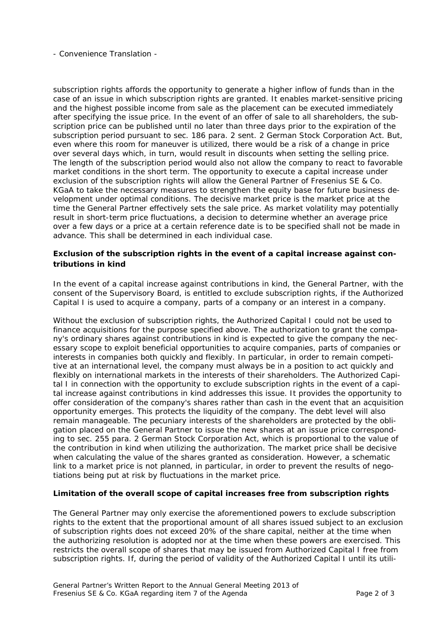- Convenience Translation -

subscription rights affords the opportunity to generate a higher inflow of funds than in the case of an issue in which subscription rights are granted. It enables market-sensitive pricing and the highest possible income from sale as the placement can be executed immediately after specifying the issue price. In the event of an offer of sale to all shareholders, the subscription price can be published until no later than three days prior to the expiration of the subscription period pursuant to sec. 186 para. 2 sent. 2 German Stock Corporation Act. But, even where this room for maneuver is utilized, there would be a risk of a change in price over several days which, in turn, would result in discounts when setting the selling price. The length of the subscription period would also not allow the company to react to favorable market conditions in the short term. The opportunity to execute a capital increase under exclusion of the subscription rights will allow the General Partner of Fresenius SE & Co. KGaA to take the necessary measures to strengthen the equity base for future business development under optimal conditions. The decisive market price is the market price at the time the General Partner effectively sets the sale price. As market volatility may potentially result in short-term price fluctuations, a decision to determine whether an average price over a few days or a price at a certain reference date is to be specified shall not be made in advance. This shall be determined in each individual case.

## **Exclusion of the subscription rights in the event of a capital increase against contributions in kind**

In the event of a capital increase against contributions in kind, the General Partner, with the consent of the Supervisory Board, is entitled to exclude subscription rights, if the Authorized Capital I is used to acquire a company, parts of a company or an interest in a company.

Without the exclusion of subscription rights, the Authorized Capital I could not be used to finance acquisitions for the purpose specified above. The authorization to grant the company's ordinary shares against contributions in kind is expected to give the company the necessary scope to exploit beneficial opportunities to acquire companies, parts of companies or interests in companies both quickly and flexibly. In particular, in order to remain competitive at an international level, the company must always be in a position to act quickly and flexibly on international markets in the interests of their shareholders. The Authorized Capital I in connection with the opportunity to exclude subscription rights in the event of a capital increase against contributions in kind addresses this issue. It provides the opportunity to offer consideration of the company's shares rather than cash in the event that an acquisition opportunity emerges. This protects the liquidity of the company. The debt level will also remain manageable. The pecuniary interests of the shareholders are protected by the obligation placed on the General Partner to issue the new shares at an issue price corresponding to sec. 255 para. 2 German Stock Corporation Act, which is proportional to the value of the contribution in kind when utilizing the authorization. The market price shall be decisive when calculating the value of the shares granted as consideration. However, a schematic link to a market price is not planned, in particular, in order to prevent the results of negotiations being put at risk by fluctuations in the market price.

## **Limitation of the overall scope of capital increases free from subscription rights**

The General Partner may only exercise the aforementioned powers to exclude subscription rights to the extent that the proportional amount of all shares issued subject to an exclusion of subscription rights does not exceed 20% of the share capital, neither at the time when the authorizing resolution is adopted nor at the time when these powers are exercised. This restricts the overall scope of shares that may be issued from Authorized Capital I free from subscription rights. If, during the period of validity of the Authorized Capital I until its utili